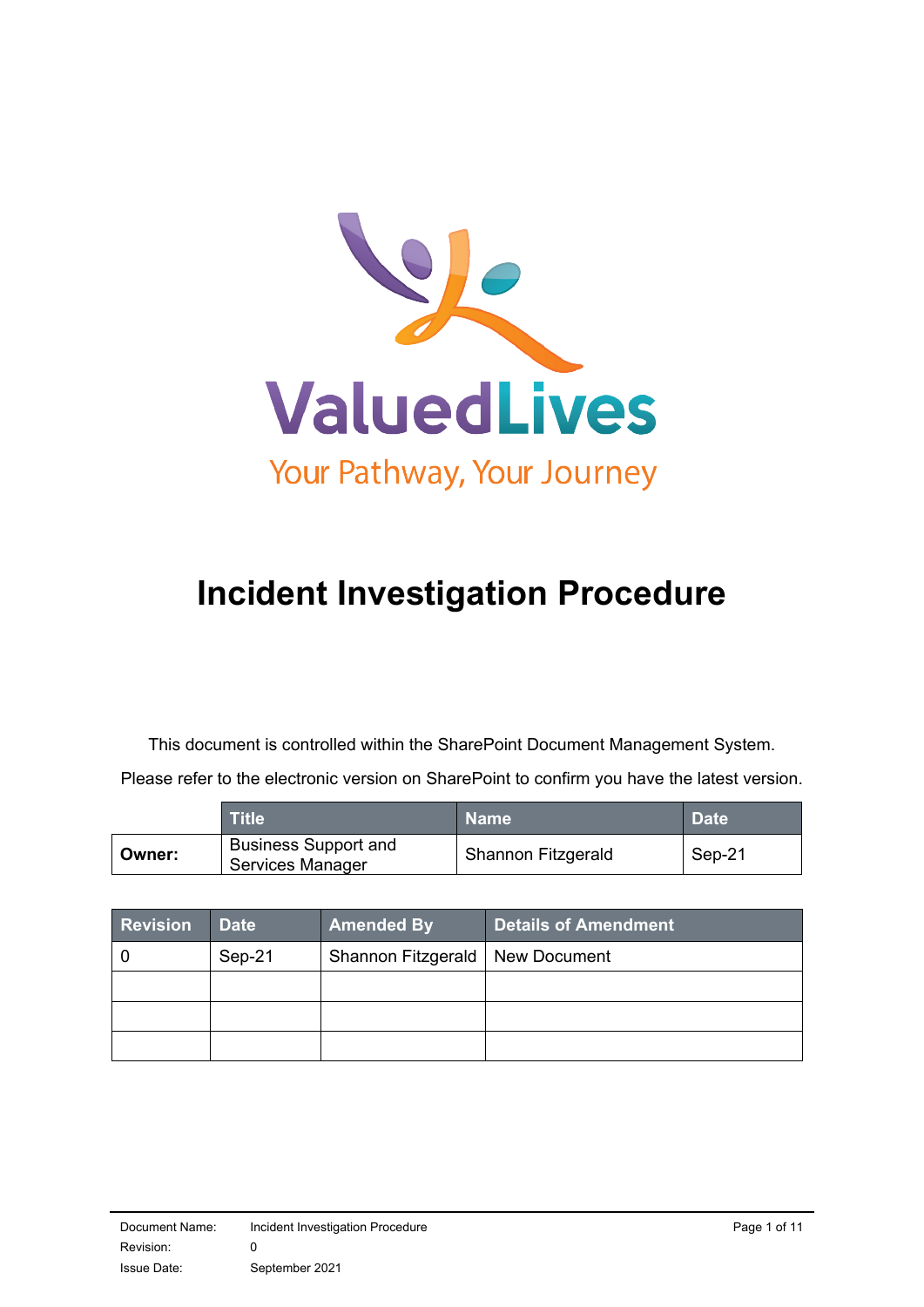

# **Incident Investigation Procedure**

This document is controlled within the SharePoint Document Management System.

Please refer to the electronic version on SharePoint to confirm you have the latest version.

|        | Title                                           | <b>Name</b>        | <b>Date</b> |
|--------|-------------------------------------------------|--------------------|-------------|
| Owner: | <b>Business Support and</b><br>Services Manager | Shannon Fitzgerald | Sep-21      |

| <b>Revision</b> | <b>Date</b> | <b>Amended By</b>                 | Details of Amendment |
|-----------------|-------------|-----------------------------------|----------------------|
|                 | Sep-21      | Shannon Fitzgerald   New Document |                      |
|                 |             |                                   |                      |
|                 |             |                                   |                      |
|                 |             |                                   |                      |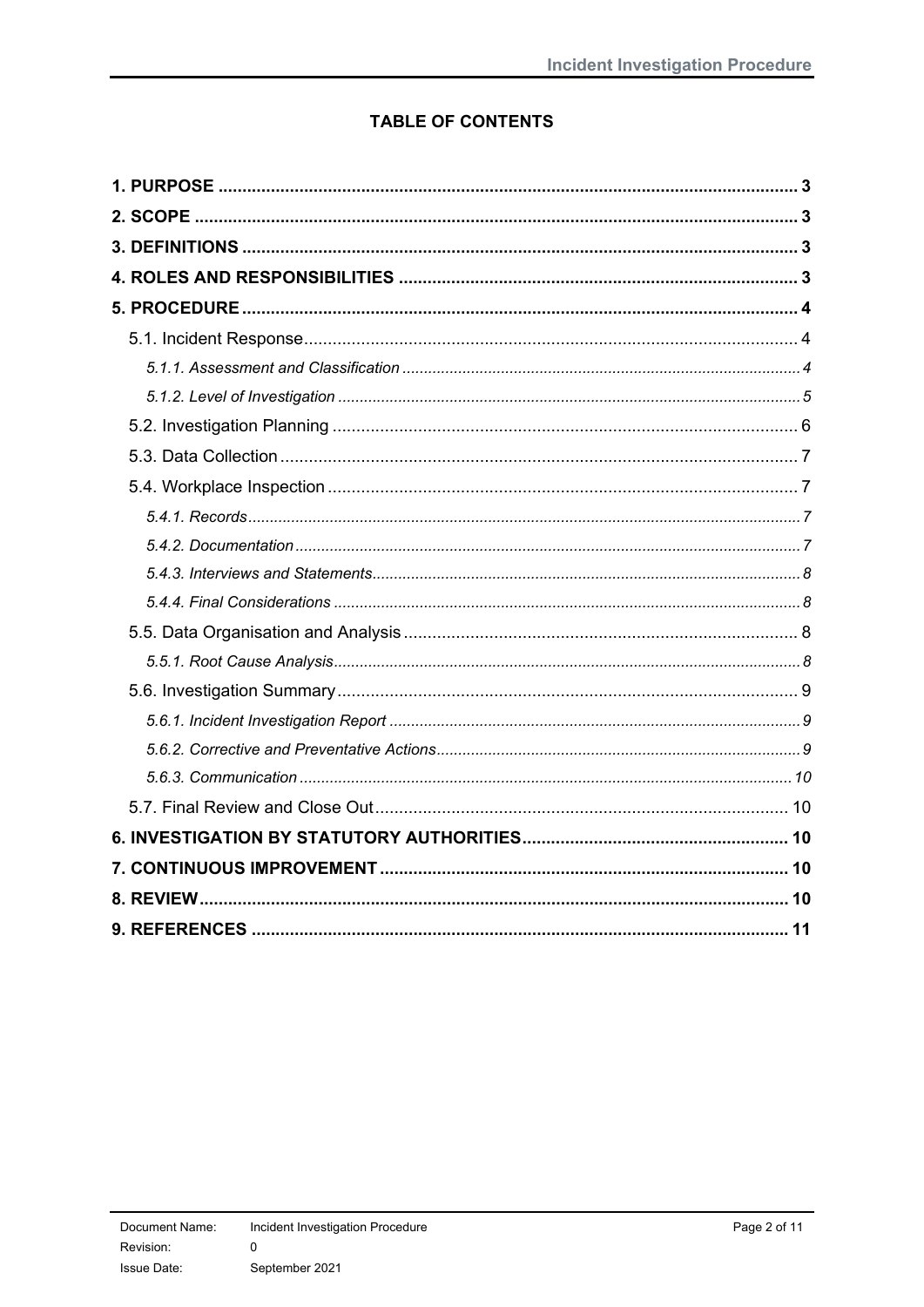# **TABLE OF CONTENTS**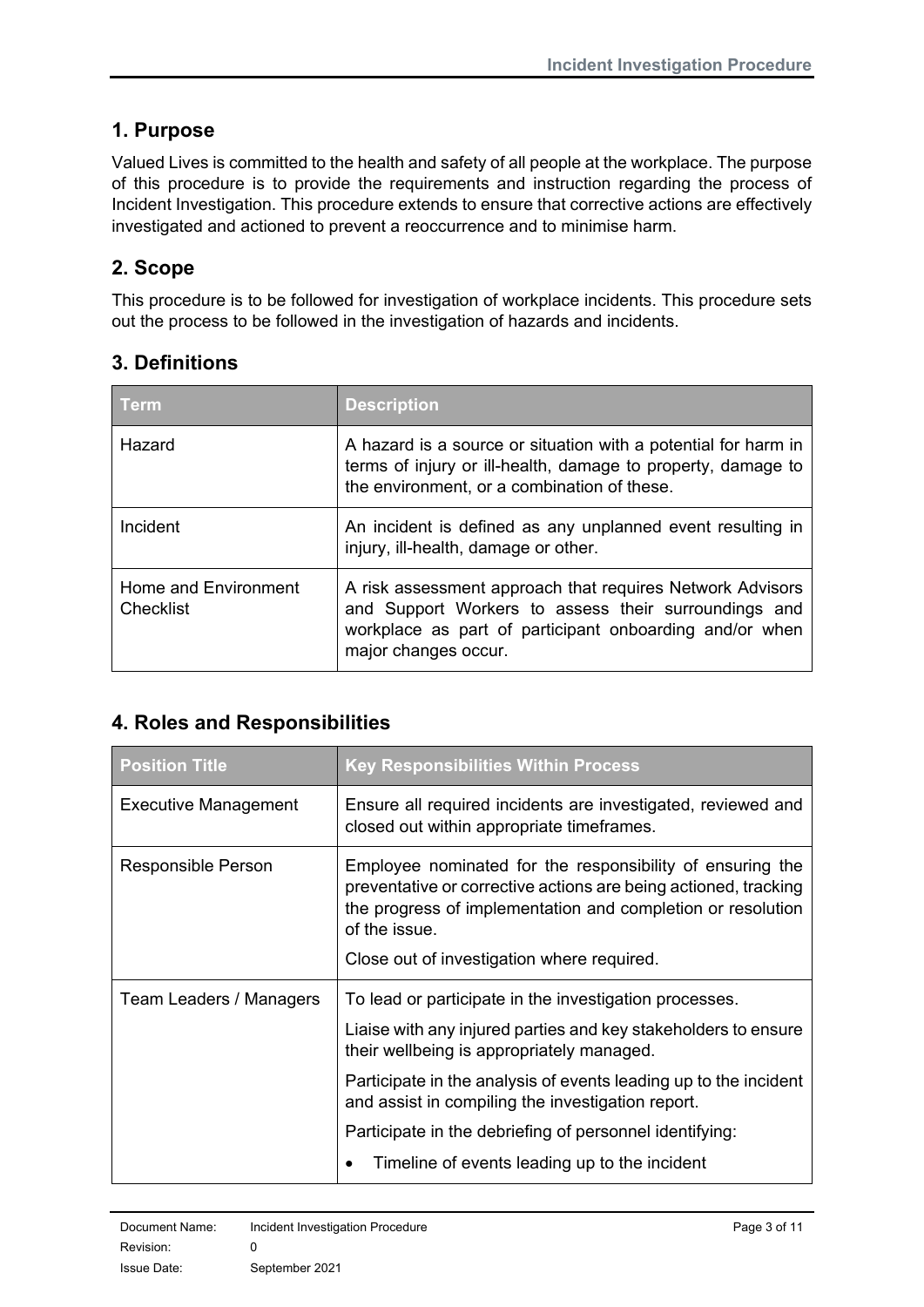# <span id="page-2-0"></span>**1. Purpose**

Valued Lives is committed to the health and safety of all people at the workplace. The purpose of this procedure is to provide the requirements and instruction regarding the process of Incident Investigation. This procedure extends to ensure that corrective actions are effectively investigated and actioned to prevent a reoccurrence and to minimise harm.

# <span id="page-2-1"></span>**2. Scope**

This procedure is to be followed for investigation of workplace incidents. This procedure sets out the process to be followed in the investigation of hazards and incidents.

# <span id="page-2-2"></span>**3. Definitions**

| Term                              | <b>Description</b>                                                                                                                                                                                   |
|-----------------------------------|------------------------------------------------------------------------------------------------------------------------------------------------------------------------------------------------------|
| Hazard                            | A hazard is a source or situation with a potential for harm in<br>terms of injury or ill-health, damage to property, damage to<br>the environment, or a combination of these.                        |
| Incident                          | An incident is defined as any unplanned event resulting in<br>injury, ill-health, damage or other.                                                                                                   |
| Home and Environment<br>Checklist | A risk assessment approach that requires Network Advisors<br>and Support Workers to assess their surroundings and<br>workplace as part of participant onboarding and/or when<br>major changes occur. |

# <span id="page-2-3"></span>**4. Roles and Responsibilities**

| <b>Position Title</b>   | <b>Key Responsibilities Within Process</b>                                                                                                                                                                   |
|-------------------------|--------------------------------------------------------------------------------------------------------------------------------------------------------------------------------------------------------------|
| Executive Management    | Ensure all required incidents are investigated, reviewed and<br>closed out within appropriate timeframes.                                                                                                    |
| Responsible Person      | Employee nominated for the responsibility of ensuring the<br>preventative or corrective actions are being actioned, tracking<br>the progress of implementation and completion or resolution<br>of the issue. |
|                         | Close out of investigation where required.                                                                                                                                                                   |
| Team Leaders / Managers | To lead or participate in the investigation processes.                                                                                                                                                       |
|                         | Liaise with any injured parties and key stakeholders to ensure<br>their wellbeing is appropriately managed.                                                                                                  |
|                         | Participate in the analysis of events leading up to the incident<br>and assist in compiling the investigation report.                                                                                        |
|                         | Participate in the debriefing of personnel identifying:                                                                                                                                                      |
|                         | Timeline of events leading up to the incident                                                                                                                                                                |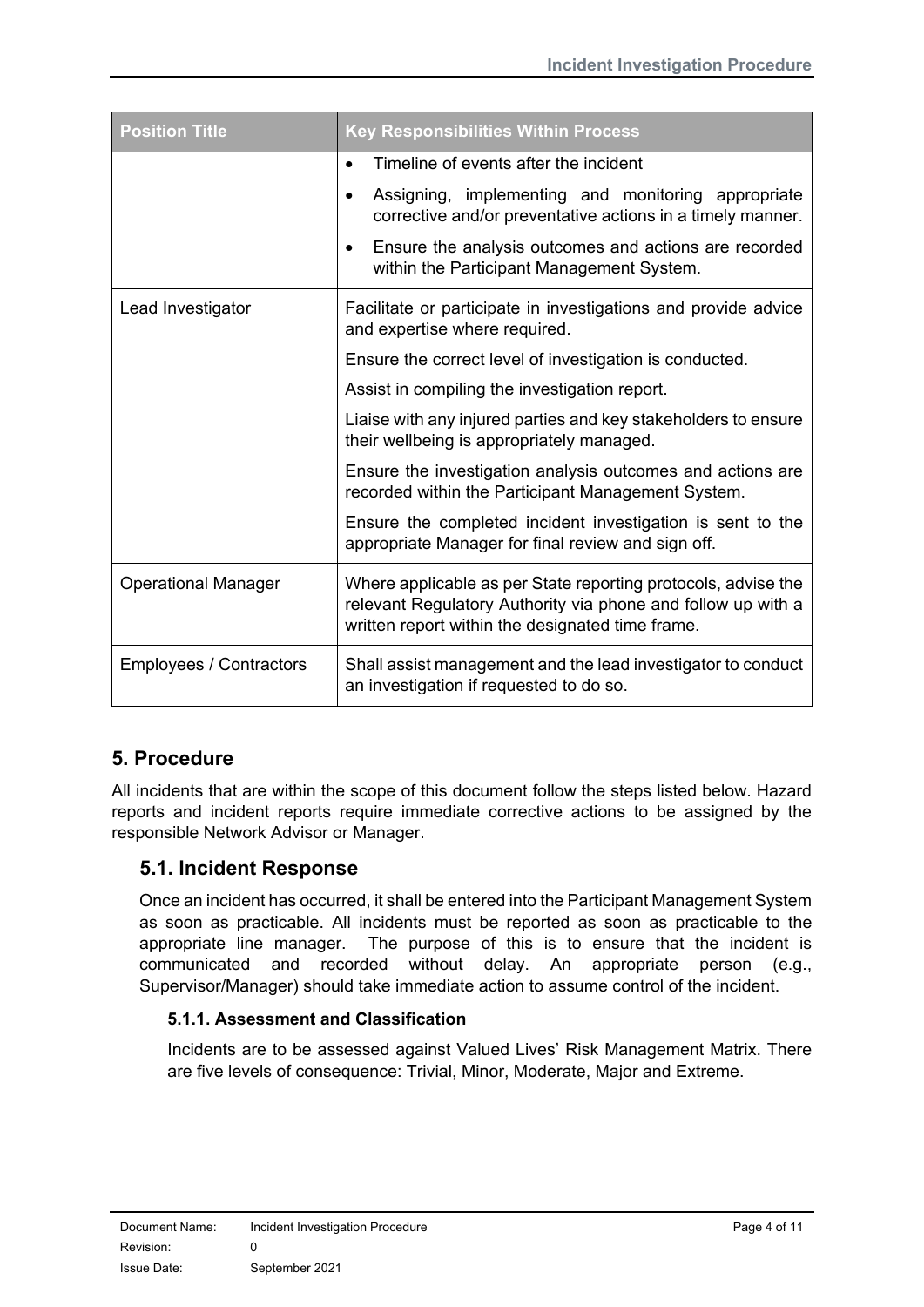| <b>Position Title</b>          | <b>Key Responsibilities Within Process</b>                                                                                                                                        |  |
|--------------------------------|-----------------------------------------------------------------------------------------------------------------------------------------------------------------------------------|--|
|                                | Timeline of events after the incident<br>$\bullet$                                                                                                                                |  |
|                                | Assigning, implementing and monitoring appropriate<br>$\bullet$<br>corrective and/or preventative actions in a timely manner.                                                     |  |
|                                | Ensure the analysis outcomes and actions are recorded<br>within the Participant Management System.                                                                                |  |
| Lead Investigator              | Facilitate or participate in investigations and provide advice<br>and expertise where required.                                                                                   |  |
|                                | Ensure the correct level of investigation is conducted.                                                                                                                           |  |
|                                | Assist in compiling the investigation report.                                                                                                                                     |  |
|                                | Liaise with any injured parties and key stakeholders to ensure<br>their wellbeing is appropriately managed.                                                                       |  |
|                                | Ensure the investigation analysis outcomes and actions are<br>recorded within the Participant Management System.                                                                  |  |
|                                | Ensure the completed incident investigation is sent to the<br>appropriate Manager for final review and sign off.                                                                  |  |
| <b>Operational Manager</b>     | Where applicable as per State reporting protocols, advise the<br>relevant Regulatory Authority via phone and follow up with a<br>written report within the designated time frame. |  |
| <b>Employees / Contractors</b> | Shall assist management and the lead investigator to conduct<br>an investigation if requested to do so.                                                                           |  |

# <span id="page-3-0"></span>**5. Procedure**

All incidents that are within the scope of this document follow the steps listed below. Hazard reports and incident reports require immediate corrective actions to be assigned by the responsible Network Advisor or Manager.

# <span id="page-3-1"></span>**5.1. Incident Response**

Once an incident has occurred, it shall be entered into the Participant Management System as soon as practicable. All incidents must be reported as soon as practicable to the appropriate line manager. The purpose of this is to ensure that the incident is communicated and recorded without delay. An appropriate person (e.g., Supervisor/Manager) should take immediate action to assume control of the incident.

## <span id="page-3-2"></span>**5.1.1. Assessment and Classification**

Incidents are to be assessed against Valued Lives' Risk Management Matrix. There are five levels of consequence: Trivial, Minor, Moderate, Major and Extreme.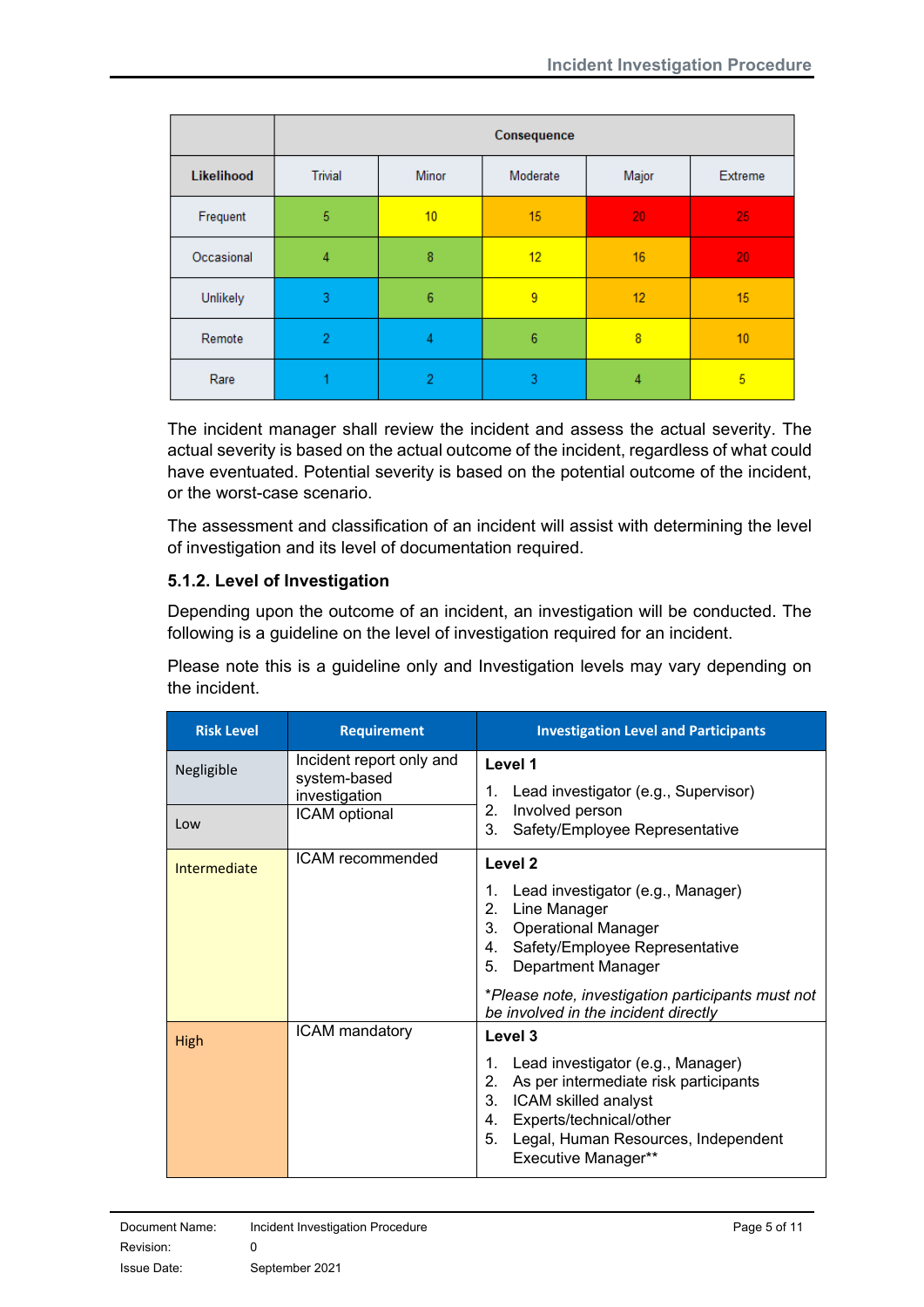|            | Consequence    |                 |                 |                         |         |
|------------|----------------|-----------------|-----------------|-------------------------|---------|
| Likelihood | <b>Trivial</b> | <b>Minor</b>    | Moderate        | Major                   | Extreme |
| Frequent   | 5              | 10              | 15              | 20                      | 25      |
| Occasional | 4              | 8               | 12 <sub>2</sub> | 16                      | 20      |
| Unlikely   | 3              | $6\phantom{1}6$ | 9               | 12                      | 15      |
| Remote     | $\overline{2}$ | 4               | 6               | $\overline{\mathbf{8}}$ | 10      |
| Rare       |                | $\overline{2}$  | 3               | 4                       | 5       |

The incident manager shall review the incident and assess the actual severity. The actual severity is based on the actual outcome of the incident, regardless of what could have eventuated. Potential severity is based on the potential outcome of the incident, or the worst-case scenario.

The assessment and classification of an incident will assist with determining the level of investigation and its level of documentation required.

### <span id="page-4-0"></span>**5.1.2. Level of Investigation**

Depending upon the outcome of an incident, an investigation will be conducted. The following is a guideline on the level of investigation required for an incident.

Please note this is a guideline only and Investigation levels may vary depending on the incident.

| <b>Risk Level</b> | <b>Requirement</b>                                        | <b>Investigation Level and Participants</b>                                                                                                                                                                                      |
|-------------------|-----------------------------------------------------------|----------------------------------------------------------------------------------------------------------------------------------------------------------------------------------------------------------------------------------|
| Negligible        | Incident report only and<br>system-based<br>investigation | Level 1<br>1. Lead investigator (e.g., Supervisor)                                                                                                                                                                               |
| Low               | ICAM optional                                             | Involved person<br>2.<br>Safety/Employee Representative<br>3 <sup>1</sup>                                                                                                                                                        |
| Intermediate      | ICAM recommended                                          | Level 2                                                                                                                                                                                                                          |
|                   |                                                           | Lead investigator (e.g., Manager)<br>1.<br>Line Manager<br>2.<br><b>Operational Manager</b><br>3.<br>4. Safety/Employee Representative<br>Department Manager<br>5.                                                               |
|                   |                                                           | *Please note, investigation participants must not<br>be involved in the incident directly                                                                                                                                        |
| High              | <b>ICAM</b> mandatory                                     | Level 3                                                                                                                                                                                                                          |
|                   |                                                           | Lead investigator (e.g., Manager)<br>1.<br>As per intermediate risk participants<br>2.<br>ICAM skilled analyst<br>3.<br>Experts/technical/other<br>4.<br>Legal, Human Resources, Independent<br>5.<br><b>Executive Manager**</b> |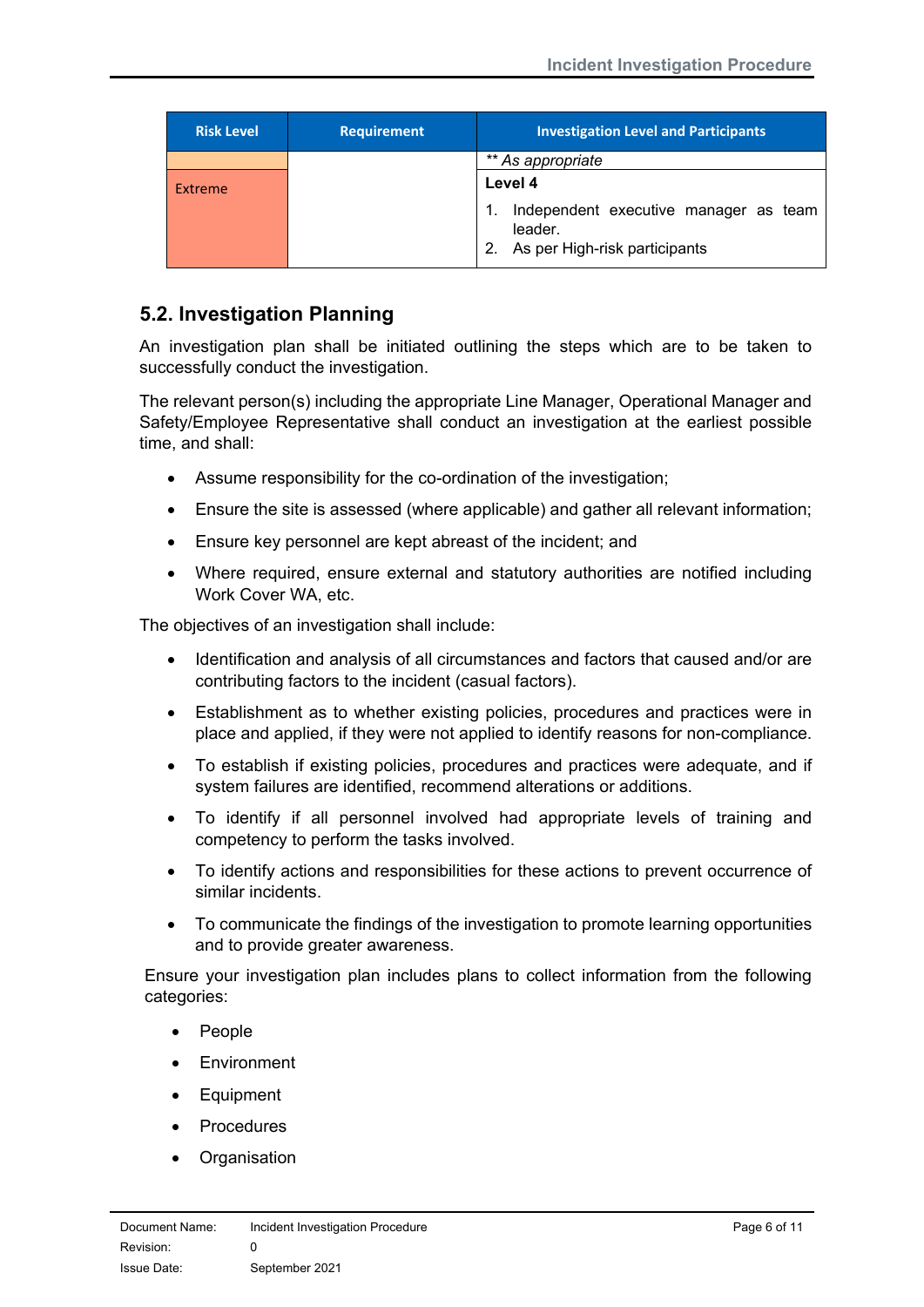| <b>Risk Level</b> | <b>Requirement</b> | <b>Investigation Level and Participants</b>                                             |
|-------------------|--------------------|-----------------------------------------------------------------------------------------|
|                   |                    | ** As appropriate                                                                       |
| Extreme           |                    | Level 4                                                                                 |
|                   |                    | Independent executive manager as team<br>leader.<br>As per High-risk participants<br>2. |

# <span id="page-5-0"></span>**5.2. Investigation Planning**

An investigation plan shall be initiated outlining the steps which are to be taken to successfully conduct the investigation.

The relevant person(s) including the appropriate Line Manager, Operational Manager and Safety/Employee Representative shall conduct an investigation at the earliest possible time, and shall:

- Assume responsibility for the co-ordination of the investigation;
- Ensure the site is assessed (where applicable) and gather all relevant information;
- Ensure key personnel are kept abreast of the incident; and
- Where required, ensure external and statutory authorities are notified including Work Cover WA, etc.

The objectives of an investigation shall include:

- Identification and analysis of all circumstances and factors that caused and/or are contributing factors to the incident (casual factors).
- Establishment as to whether existing policies, procedures and practices were in place and applied, if they were not applied to identify reasons for non-compliance.
- To establish if existing policies, procedures and practices were adequate, and if system failures are identified, recommend alterations or additions.
- To identify if all personnel involved had appropriate levels of training and competency to perform the tasks involved.
- To identify actions and responsibilities for these actions to prevent occurrence of similar incidents.
- To communicate the findings of the investigation to promote learning opportunities and to provide greater awareness.

Ensure your investigation plan includes plans to collect information from the following categories:

- People
- Environment
- Equipment
- **Procedures**
- Organisation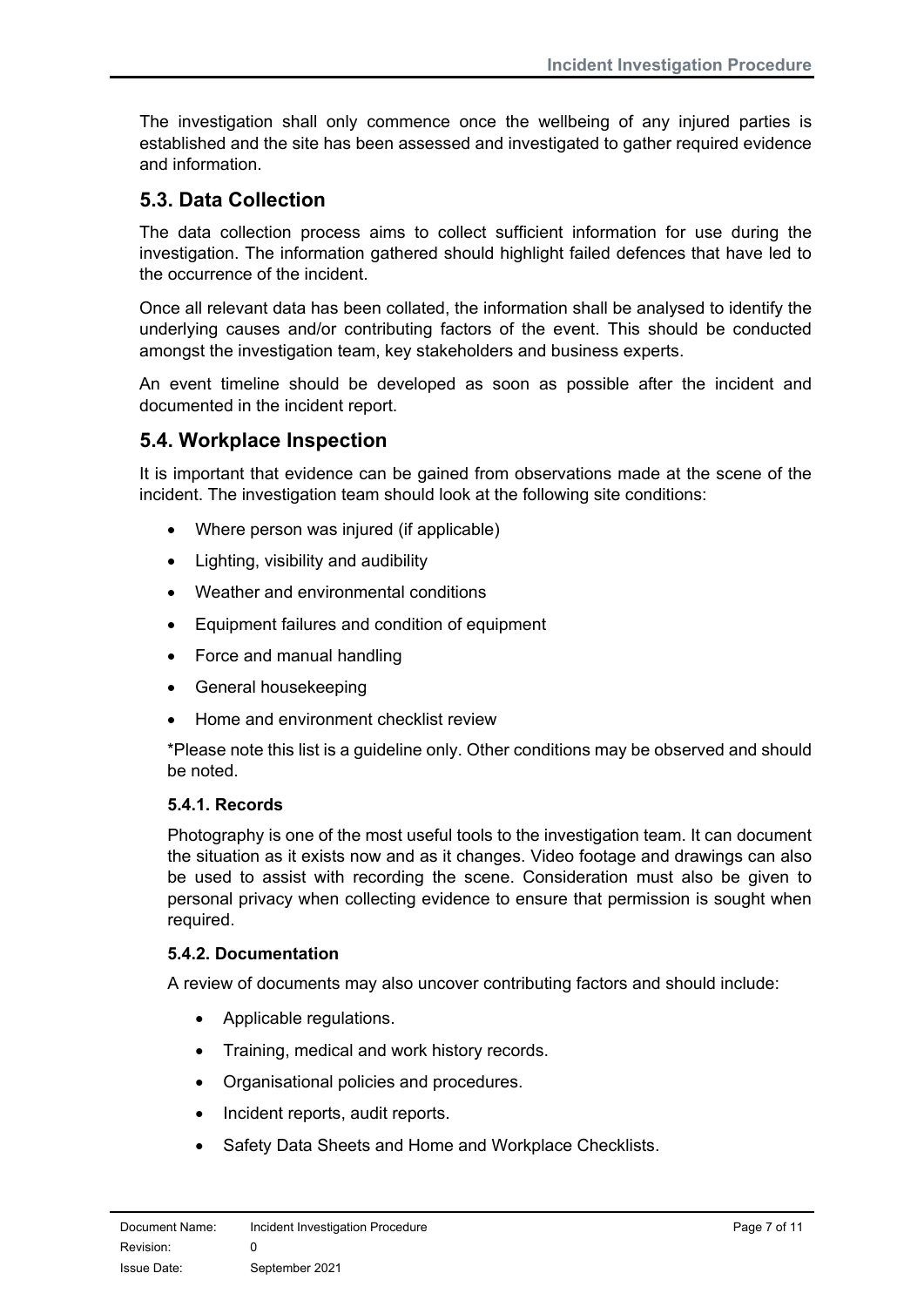The investigation shall only commence once the wellbeing of any injured parties is established and the site has been assessed and investigated to gather required evidence and information.

# <span id="page-6-0"></span>**5.3. Data Collection**

The data collection process aims to collect sufficient information for use during the investigation. The information gathered should highlight failed defences that have led to the occurrence of the incident.

Once all relevant data has been collated, the information shall be analysed to identify the underlying causes and/or contributing factors of the event. This should be conducted amongst the investigation team, key stakeholders and business experts.

An event timeline should be developed as soon as possible after the incident and documented in the incident report.

## <span id="page-6-1"></span>**5.4. Workplace Inspection**

It is important that evidence can be gained from observations made at the scene of the incident. The investigation team should look at the following site conditions:

- Where person was injured (if applicable)
- Lighting, visibility and audibility
- Weather and environmental conditions
- Equipment failures and condition of equipment
- Force and manual handling
- General housekeeping
- Home and environment checklist review

\*Please note this list is a guideline only. Other conditions may be observed and should be noted.

#### <span id="page-6-2"></span>**5.4.1. Records**

Photography is one of the most useful tools to the investigation team. It can document the situation as it exists now and as it changes. Video footage and drawings can also be used to assist with recording the scene. Consideration must also be given to personal privacy when collecting evidence to ensure that permission is sought when required.

#### <span id="page-6-3"></span>**5.4.2. Documentation**

A review of documents may also uncover contributing factors and should include:

- Applicable regulations.
- Training, medical and work history records.
- Organisational policies and procedures.
- Incident reports, audit reports.
- Safety Data Sheets and Home and Workplace Checklists.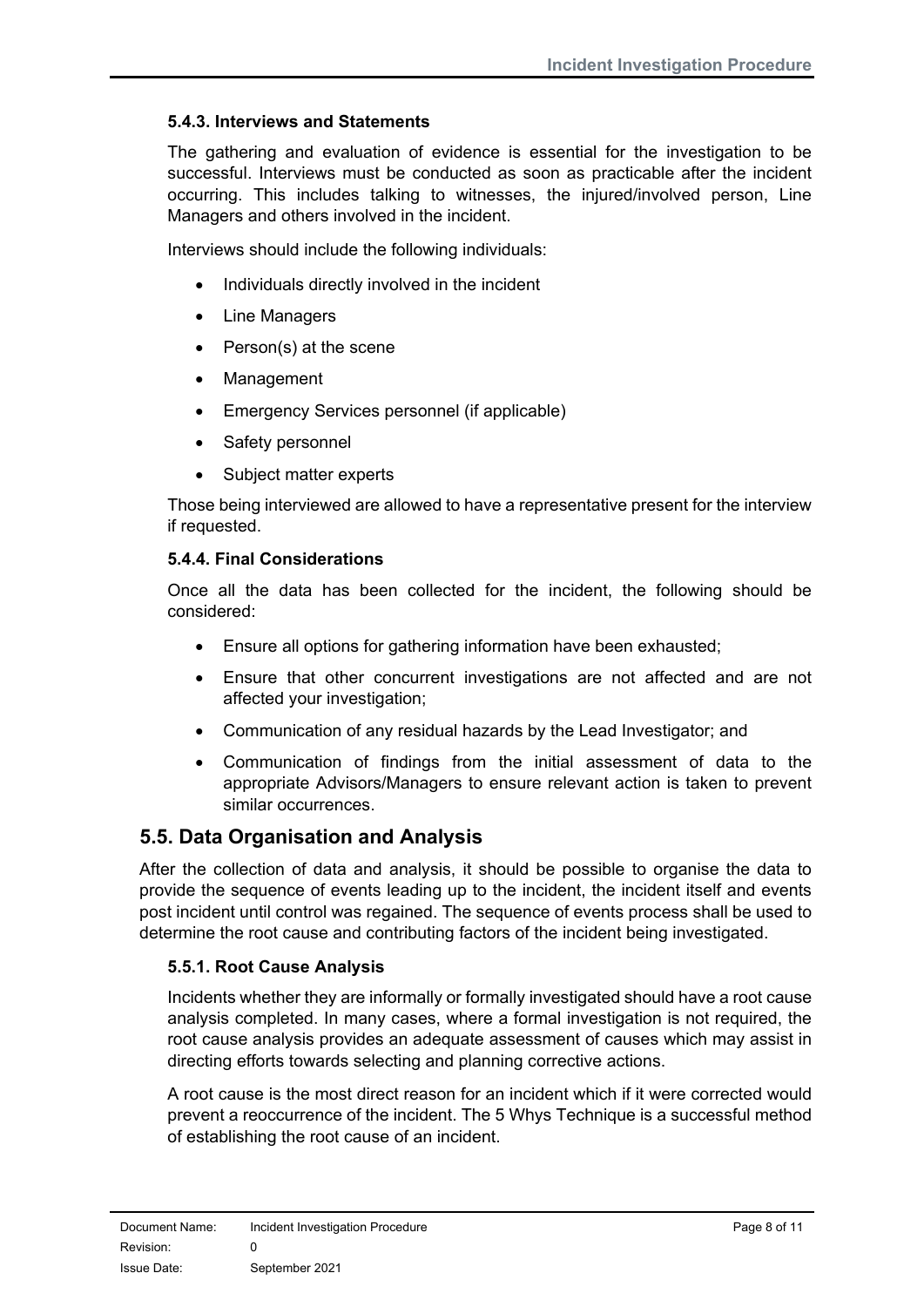#### <span id="page-7-0"></span>**5.4.3. Interviews and Statements**

The gathering and evaluation of evidence is essential for the investigation to be successful. Interviews must be conducted as soon as practicable after the incident occurring. This includes talking to witnesses, the injured/involved person, Line Managers and others involved in the incident.

Interviews should include the following individuals:

- Individuals directly involved in the incident
- Line Managers
- Person(s) at the scene
- **Management**
- Emergency Services personnel (if applicable)
- Safety personnel
- Subject matter experts

Those being interviewed are allowed to have a representative present for the interview if requested.

#### <span id="page-7-1"></span>**5.4.4. Final Considerations**

Once all the data has been collected for the incident, the following should be considered:

- Ensure all options for gathering information have been exhausted;
- Ensure that other concurrent investigations are not affected and are not affected your investigation;
- Communication of any residual hazards by the Lead Investigator; and
- Communication of findings from the initial assessment of data to the appropriate Advisors/Managers to ensure relevant action is taken to prevent similar occurrences.

# <span id="page-7-2"></span>**5.5. Data Organisation and Analysis**

After the collection of data and analysis, it should be possible to organise the data to provide the sequence of events leading up to the incident, the incident itself and events post incident until control was regained. The sequence of events process shall be used to determine the root cause and contributing factors of the incident being investigated.

#### <span id="page-7-3"></span>**5.5.1. Root Cause Analysis**

Incidents whether they are informally or formally investigated should have a root cause analysis completed. In many cases, where a formal investigation is not required, the root cause analysis provides an adequate assessment of causes which may assist in directing efforts towards selecting and planning corrective actions.

A root cause is the most direct reason for an incident which if it were corrected would prevent a reoccurrence of the incident. The 5 Whys Technique is a successful method of establishing the root cause of an incident.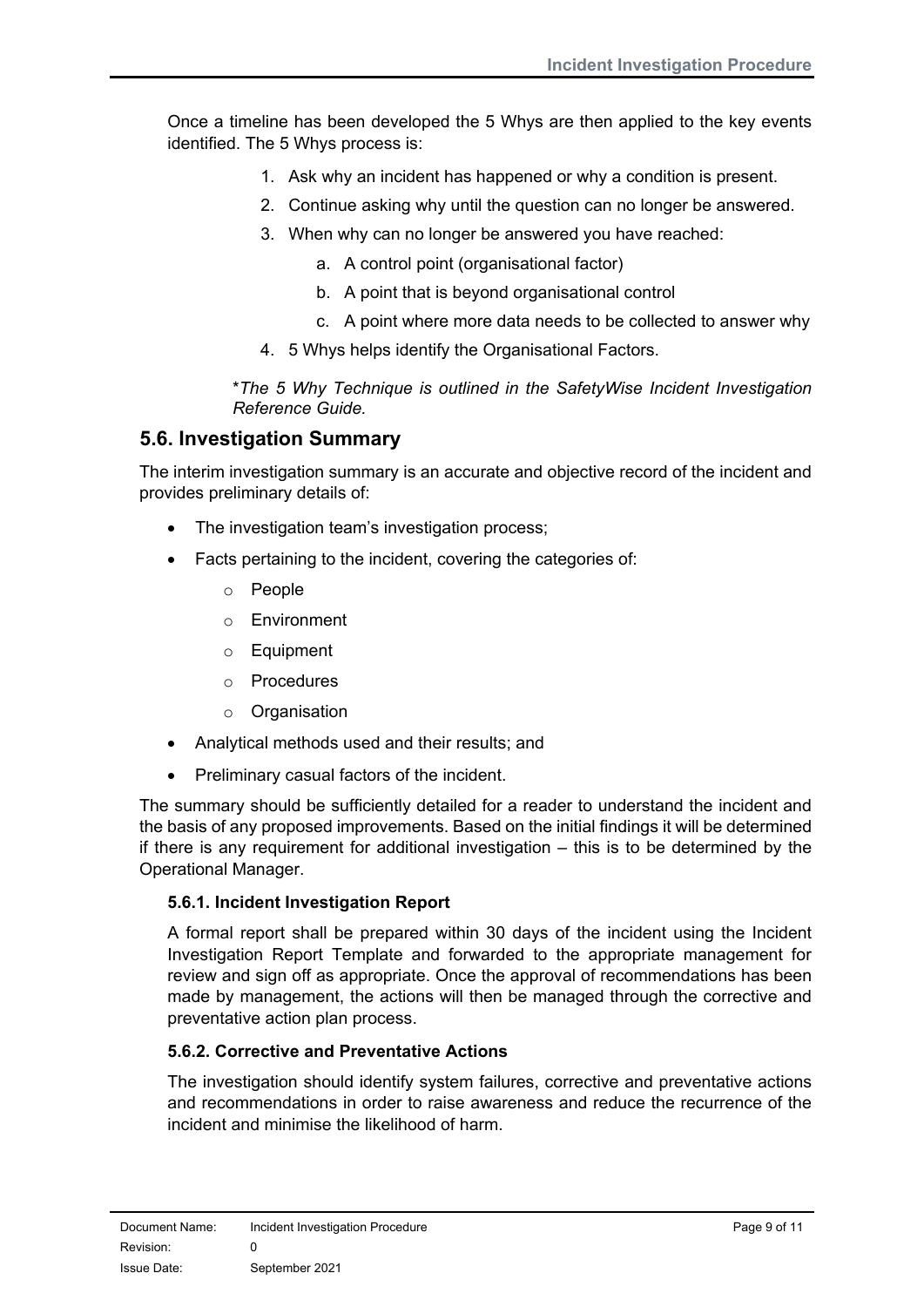Once a timeline has been developed the 5 Whys are then applied to the key events identified. The 5 Whys process is:

- 1. Ask why an incident has happened or why a condition is present.
- 2. Continue asking why until the question can no longer be answered.
- 3. When why can no longer be answered you have reached:
	- a. A control point (organisational factor)
	- b. A point that is beyond organisational control
	- c. A point where more data needs to be collected to answer why
- 4. 5 Whys helps identify the Organisational Factors.

\**The 5 Why Technique is outlined in the SafetyWise Incident Investigation Reference Guide.* 

## <span id="page-8-0"></span>**5.6. Investigation Summary**

The interim investigation summary is an accurate and objective record of the incident and provides preliminary details of:

- The investigation team's investigation process:
- Facts pertaining to the incident, covering the categories of:
	- o People
	- o Environment
	- o Equipment
	- o Procedures
	- o Organisation
- Analytical methods used and their results; and
- Preliminary casual factors of the incident.

The summary should be sufficiently detailed for a reader to understand the incident and the basis of any proposed improvements. Based on the initial findings it will be determined if there is any requirement for additional investigation – this is to be determined by the Operational Manager.

#### <span id="page-8-1"></span>**5.6.1. Incident Investigation Report**

A formal report shall be prepared within 30 days of the incident using the Incident Investigation Report Template and forwarded to the appropriate management for review and sign off as appropriate. Once the approval of recommendations has been made by management, the actions will then be managed through the corrective and preventative action plan process.

## <span id="page-8-2"></span>**5.6.2. Corrective and Preventative Actions**

The investigation should identify system failures, corrective and preventative actions and recommendations in order to raise awareness and reduce the recurrence of the incident and minimise the likelihood of harm.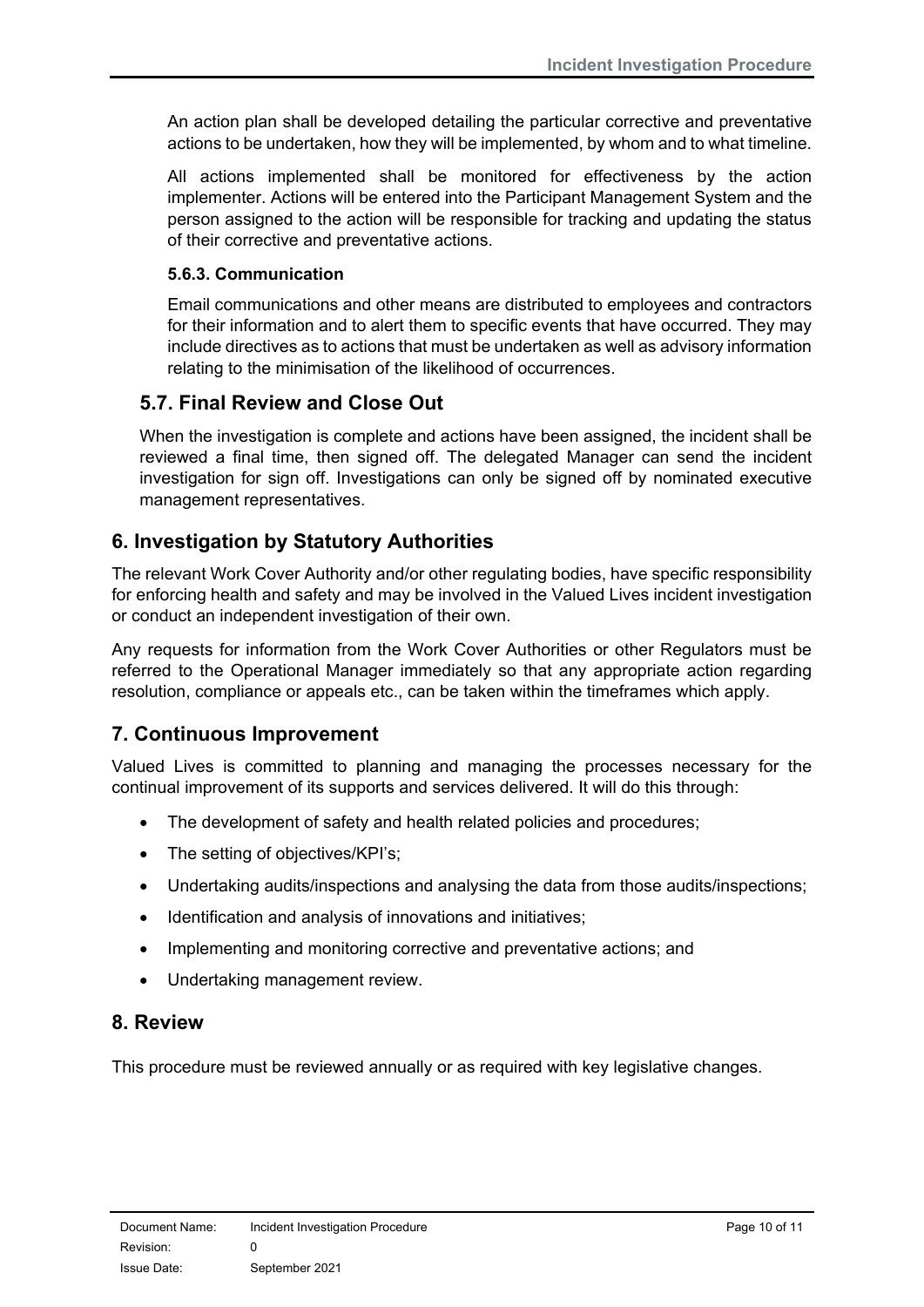An action plan shall be developed detailing the particular corrective and preventative actions to be undertaken, how they will be implemented, by whom and to what timeline.

All actions implemented shall be monitored for effectiveness by the action implementer. Actions will be entered into the Participant Management System and the person assigned to the action will be responsible for tracking and updating the status of their corrective and preventative actions.

#### <span id="page-9-0"></span>**5.6.3. Communication**

Email communications and other means are distributed to employees and contractors for their information and to alert them to specific events that have occurred. They may include directives as to actions that must be undertaken as well as advisory information relating to the minimisation of the likelihood of occurrences.

## <span id="page-9-1"></span>**5.7. Final Review and Close Out**

When the investigation is complete and actions have been assigned, the incident shall be reviewed a final time, then signed off. The delegated Manager can send the incident investigation for sign off. Investigations can only be signed off by nominated executive management representatives.

# <span id="page-9-2"></span>**6. Investigation by Statutory Authorities**

The relevant Work Cover Authority and/or other regulating bodies, have specific responsibility for enforcing health and safety and may be involved in the Valued Lives incident investigation or conduct an independent investigation of their own.

Any requests for information from the Work Cover Authorities or other Regulators must be referred to the Operational Manager immediately so that any appropriate action regarding resolution, compliance or appeals etc., can be taken within the timeframes which apply.

# <span id="page-9-3"></span>**7. Continuous Improvement**

Valued Lives is committed to planning and managing the processes necessary for the continual improvement of its supports and services delivered. It will do this through:

- The development of safety and health related policies and procedures;
- The setting of objectives/KPI's;
- Undertaking audits/inspections and analysing the data from those audits/inspections;
- Identification and analysis of innovations and initiatives;
- Implementing and monitoring corrective and preventative actions; and
- Undertaking management review.

## <span id="page-9-4"></span>**8. Review**

This procedure must be reviewed annually or as required with key legislative changes.